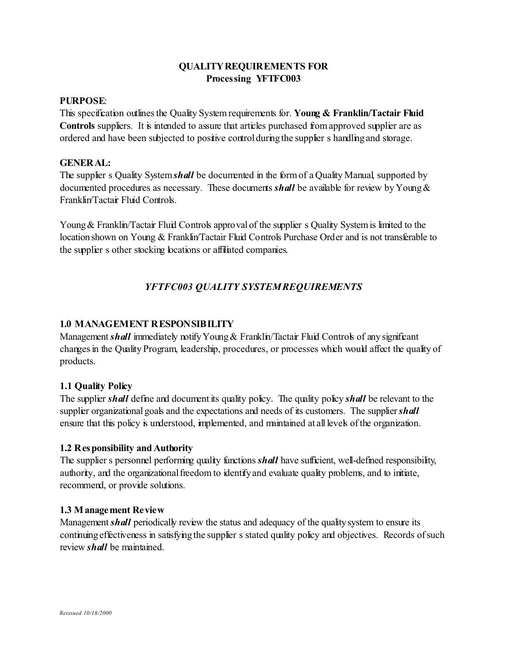#### **PURPOSE**:

This specification outlines the Quality System requirements for. **Young & Franklin/Tactair Fluid Controls** suppliers. It is intended to assure that articles purchased from approved supplier are as ordered and have been subjected to positive control during the supplier s handling and storage.

#### **GENERAL:**

The supplier s Quality System*shall* be documented in the form of a Quality Manual, supported by documented procedures as necessary. These documents *shall* be available for review by Young & Franklin/Tactair Fluid Controls.

Young & Franklin/Tactair Fluid Controls approval of the supplier s Quality System is limited to the location shown on Young & Franklin/Tactair Fluid Controls Purchase Order and is not transferable to the supplier s other stocking locations or affiliated companies.

## *YFTFC003 QUALITY SYSTEM REQUIREMENTS*

## **1.0 MANAGEMENT RESPONSIBILITY**

Management *shall* immediately notify Young & Franklin/Tactair Fluid Controls of any significant changes in the Quality Program, leadership, procedures, or processes which would affect the quality of products.

#### **1.1 Quality Policy**

The supplier *shall* define and document its quality policy. The quality policy *shall* be relevant to the supplier organizational goals and the expectations and needs of its customers. The supplier *shall* ensure that this policy is understood, implemented, and maintained at all levels of the organization.

#### **1.2 Responsibility and Authority**

The supplier s personnel performing quality functions *shall* have sufficient, well-defined responsibility, authority, and the organizational freedom to identify and evaluate quality problems, and to initiate, recommend, or provide solutions.

#### **1.3 Management Review**

Management *shall* periodically review the status and adequacy of the quality system to ensure its continuing effectiveness in satisfying the supplier s stated quality policy and objectives. Records of such review *shall* be maintained.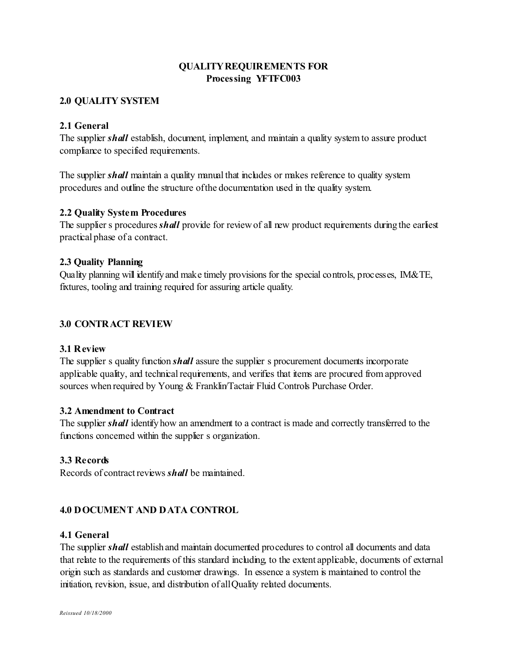### **2.0 QUALITY SYSTEM**

#### **2.1 General**

The supplier *shall* establish, document, implement, and maintain a quality system to assure product compliance to specified requirements.

The supplier *shall* maintain a quality manual that includes or makes reference to quality system procedures and outline the structure of the documentation used in the quality system.

#### **2.2 Quality System Procedures**

The supplier s procedures *shall* provide for review of all new product requirements during the earliest practical phase of a contract.

### **2.3 Quality Planning**

Quality planning will identify and make timely provisions for the special controls, processes, IM&TE, fixtures, tooling and training required for assuring article quality.

### **3.0 CONTRACT REVIEW**

#### **3.1 Review**

The supplier s quality function *shall* assure the supplier s procurement documents incorporate applicable quality, and technical requirements, and verifies that items are procured from approved sources when required by Young & Franklin/Tactair Fluid Controls Purchase Order.

#### **3.2 Amendment to Contract**

The supplier *shall* identify how an amendment to a contract is made and correctly transferred to the functions concerned within the supplier s organization.

#### **3.3 Records**

Records of contract reviews *shall* be maintained.

## **4.0 DOCUMENT AND DATA CONTROL**

#### **4.1 General**

The supplier *shall* establish and maintain documented procedures to control all documents and data that relate to the requirements of this standard including, to the extent applicable, documents of external origin such as standards and customer drawings. In essence a system is maintained to control the initiation, revision, issue, and distribution of all Quality related documents.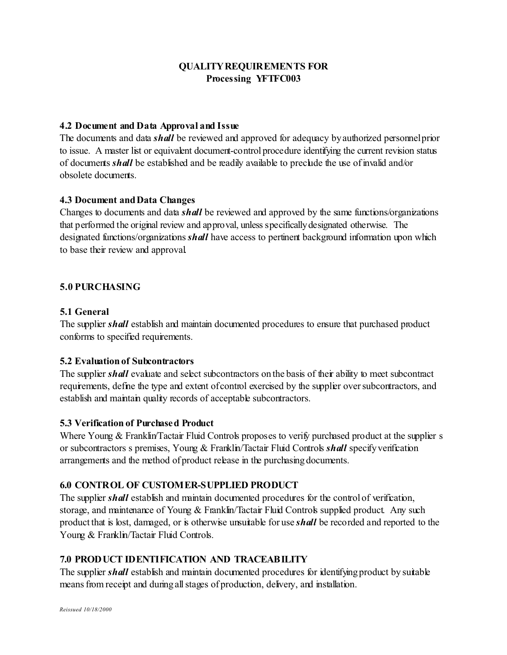### **4.2 Document and Data Approval and Issue**

The documents and data *shall* be reviewed and approved for adequacy by authorized personnel prior to issue. A master list or equivalent document-control procedure identifying the current revision status of documents *shall* be established and be readily available to preclude the use of invalid and/or obsolete documents.

### **4.3 Document and Data Changes**

Changes to documents and data *shall* be reviewed and approved by the same functions/organizations that performed the original review and approval, unless specifically designated otherwise. The designated functions/organizations *shall* have access to pertinent background information upon which to base their review and approval.

### **5.0 PURCHASING**

### **5.1 General**

The supplier *shall* establish and maintain documented procedures to ensure that purchased product conforms to specified requirements.

## **5.2 Evaluation of Subcontractors**

The supplier *shall* evaluate and select subcontractors on the basis of their ability to meet subcontract requirements, define the type and extent of control exercised by the supplier over subcontractors, and establish and maintain quality records of acceptable subcontractors.

#### **5.3 Verification of Purchased Product**

Where Young & Franklin/Tactair Fluid Controls proposes to verify purchased product at the supplier s or subcontractors s premises, Young & Franklin/Tactair Fluid Controls *shall* specify verification arrangements and the method of product release in the purchasing documents.

## **6.0 CONTROL OF CUSTOMER-SUPPLIED PRODUCT**

The supplier *shall* establish and maintain documented procedures for the control of verification, storage, and maintenance of Young  $&$  Franklin/Tactair Fluid Controls supplied product. Any such product that is lost, damaged, or is otherwise unsuitable for use *shall* be recorded and reported to the Young & Franklin/Tactair Fluid Controls.

## **7.0 PRODUCT IDENTIFICATION AND TRACEABILITY**

The supplier *shall* establish and maintain documented procedures for identifying product by suitable means from receipt and during all stages of production, delivery, and installation.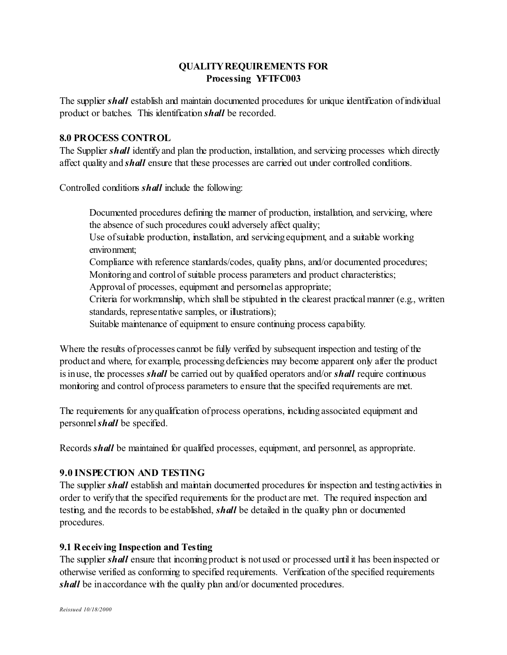The supplier *shall* establish and maintain documented procedures for unique identification of individual product or batches. This identification *shall* be recorded.

### **8.0 PROCESS CONTROL**

The Supplier **shall** identify and plan the production, installation, and servicing processes which directly affect quality and *shall* ensure that these processes are carried out under controlled conditions.

Controlled conditions *shall* include the following:

Documented procedures defining the manner of production, installation, and servicing, where the absence of such procedures could adversely affect quality; Use of suitable production, installation, and servicing equipment, and a suitable working environment; Compliance with reference standards/codes, quality plans, and/or documented procedures; Monitoring and control of suitable process parameters and product characteristics; Approval of processes, equipment and personnel as appropriate; Criteria for workmanship, which shall be stipulated in the clearest practical manner (e.g., written standards, representative samples, or illustrations); Suitable maintenance of equipment to ensure continuing process capability.

Where the results of processes cannot be fully verified by subsequent inspection and testing of the product and where, for example, processing deficiencies may become apparent only after the product is in use, the processes *shall* be carried out by qualified operators and/or *shall* require continuous monitoring and control of process parameters to ensure that the specified requirements are met.

The requirements for any qualification of process operations, including associated equipment and personnel*shall* be specified.

Records *shall* be maintained for qualified processes, equipment, and personnel, as appropriate.

## **9.0 INSPECTION AND TESTING**

The supplier *shall* establish and maintain documented procedures for inspection and testing activities in order to verify that the specified requirements for the product are met. The required inspection and testing, and the records to be established, *shall* be detailed in the quality plan or documented procedures.

## **9.1 Receiving Inspection and Testing**

The supplier *shall* ensure that incoming product is not used or processed until it has been inspected or otherwise verified as conforming to specified requirements. Verification of the specified requirements *shall* be in accordance with the quality plan and/or documented procedures.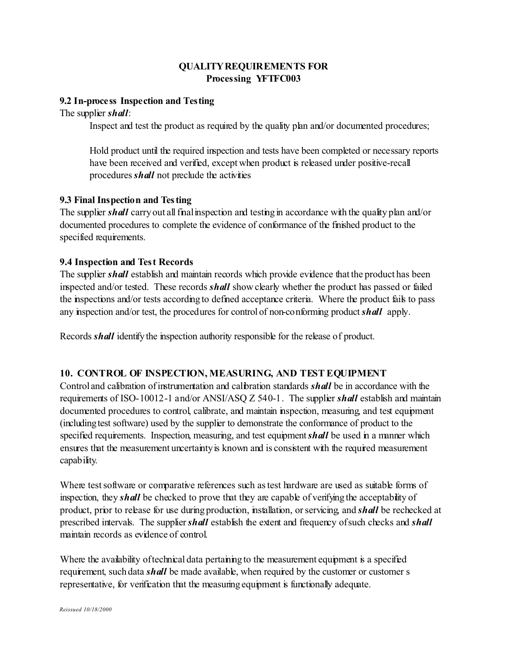#### **9.2 In-process Inspection and Testing**

The supplier *shall*:

Inspect and test the product as required by the quality plan and/or documented procedures;

" Hold product until the required inspection and tests have been completed or necessary reports have been received and verified, except when product is released under positive-recall procedures *shall* not preclude the activities

### **9.3 Final Inspection and Testing**

The supplier *shall* carry out all final inspection and testing in accordance with the quality plan and/or documented procedures to complete the evidence of conformance of the finished product to the specified requirements.

### **9.4 Inspection and Test Records**

The supplier *shall* establish and maintain records which provide evidence that the product has been inspected and/or tested. These records *shall* show clearly whether the product has passed or failed the inspections and/or tests according to defined acceptance criteria. Where the product fails to pass any inspection and/or test, the procedures for control of non-conforming product *shall* apply.

Records *shall* identify the inspection authority responsible for the release of product.

#### **10. CONTROL OF INSPECTION, MEASURING, AND TEST EQUIPMENT**

Control and calibration of instrumentation and calibration standards *shall* be in accordance with the requirements of ISO-10012-1 and/or ANSI/ASQ Z 540-1. The supplier *shall* establish and maintain documented procedures to control, calibrate, and maintain inspection, measuring, and test equipment (including test software) used by the supplier to demonstrate the conformance of product to the specified requirements. Inspection, measuring, and test equipment *shall* be used in a manner which ensures that the measurement uncertainty is known and is consistent with the required measurement capability.

Where test software or comparative references such as test hardware are used as suitable forms of inspection, they *shall* be checked to prove that they are capable of verifying the acceptability of product, prior to release for use during production, installation, or servicing, and *shall* be rechecked at prescribed intervals. The supplier *shall* establish the extent and frequency of such checks and *shall* maintain records as evidence of control.

Where the availability of technical data pertaining to the measurement equipment is a specified requirement, such data *shall* be made available, when required by the customer or customer s representative, for verification that the measuring equipment is functionally adequate.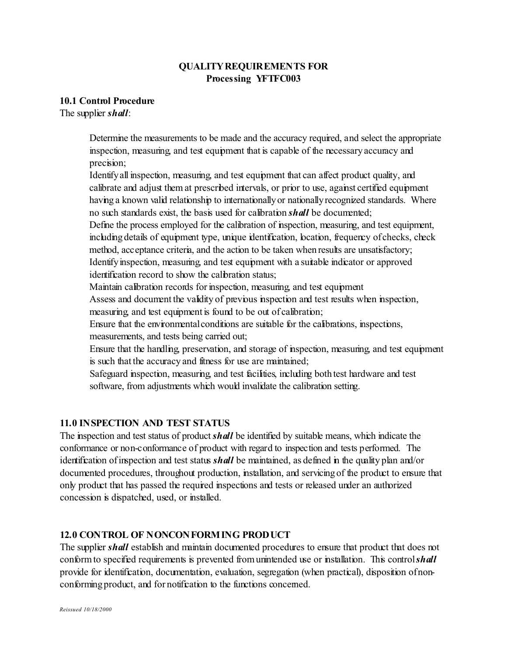#### **10.1 Control Procedure**

The supplier *shall*:

Determine the measurements to be made and the accuracy required, and select the appropriate inspection, measuring, and test equipment that is capable of the necessary accuracy and precision;

Identify all inspection, measuring, and test equipment that can affect product quality, and calibrate and adjust them at prescribed intervals, or prior to use, against certified equipment having a known valid relationship to internationally or nationally recognized standards. Where no such standards exist, the basis used for calibration *shall* be documented;

Define the process employed for the calibration of inspection, measuring, and test equipment, including details of equipment type, unique identification, location, frequency of checks, check method, acceptance criteria, and the action to be taken when results are unsatisfactory; Identify inspection, measuring, and test equipment with a suitable indicator or approved identification record to show the calibration status;

Maintain calibration records for inspection, measuring, and test equipment

Assess and document the validity of previous inspection and test results when inspection,

measuring, and test equipment is found to be out of calibration;

Ensure that the environmental conditions are suitable for the calibrations, inspections, measurements, and tests being carried out;

Ensure that the handling, preservation, and storage of inspection, measuring, and test equipment is such that the accuracy and fitness for use are maintained;

Safeguard inspection, measuring, and test facilities, including both test hardware and test software, from adjustments which would invalidate the calibration setting.

## **11.0 INSPECTION AND TEST STATUS**

The inspection and test status of product **shall** be identified by suitable means, which indicate the conformance or non-conformance of product with regard to inspection and tests performed. The identification of inspection and test status *shall* be maintained, as defined in the quality plan and/or documented procedures, throughout production, installation, and servicing of the product to ensure that only product that has passed the required inspections and tests or released under an authorized concession is dispatched, used, or installed.

#### **12.0 CONTROL OF NONCONFORMING PRODUCT**

The supplier *shall* establish and maintain documented procedures to ensure that product that does not conform to specified requirements is prevented from unintended use or installation. This control*shall* provide for identification, documentation, evaluation, segregation (when practical), disposition of nonconforming product, and for notification to the functions concerned.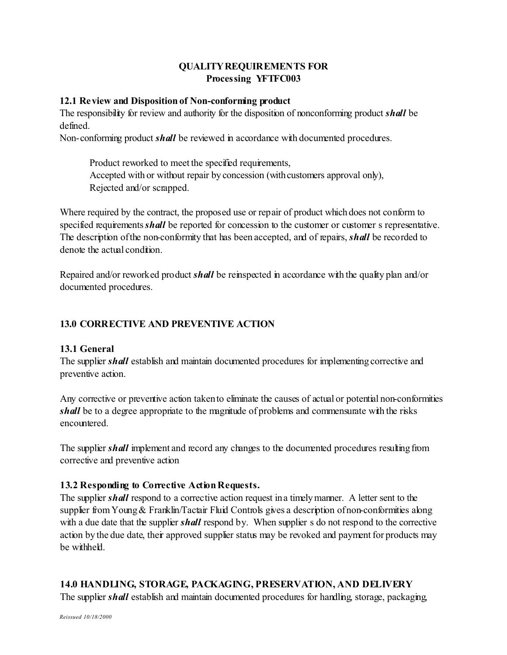### **12.1 Review and Disposition of Non-conforming product**

The responsibility for review and authority for the disposition of nonconforming product *shall* be defined.

Non-conforming product *shall* be reviewed in accordance with documented procedures.

Product reworked to meet the specified requirements, Accepted with or without repair by concession (with customers approval only), Rejected and/or scrapped.

Where required by the contract, the proposed use or repair of product which does not conform to specified requirements *shall* be reported for concession to the customer or customer s representative. The description of the non-conformity that has been accepted, and of repairs, *shall* be recorded to denote the actual condition.

Repaired and/or reworked product *shall* be reinspected in accordance with the quality plan and/or documented procedures.

# **13.0 CORRECTIVE AND PREVENTIVE ACTION**

## **13.1 General**

The supplier *shall* establish and maintain documented procedures for implementing corrective and preventive action.

Any corrective or preventive action taken to eliminate the causes of actual or potential non-conformities *shall* be to a degree appropriate to the magnitude of problems and commensurate with the risks encountered.

The supplier *shall* implement and record any changes to the documented procedures resulting from corrective and preventive action

## **13.2 Responding to Corrective Action Requests.**

The supplier *shall* respond to a corrective action request in a timely manner. A letter sent to the supplier from Young & Franklin/Tactair Fluid Controls gives a description of non-conformities along with a due date that the supplier *shall* respond by. When supplier s do not respond to the corrective action by the due date, their approved supplier status may be revoked and payment for products may be withheld.

## **14.0 HANDLING, STORAGE, PACKAGING, PRESERVATION, AND DELIVERY**

The supplier *shall* establish and maintain documented procedures for handling, storage, packaging,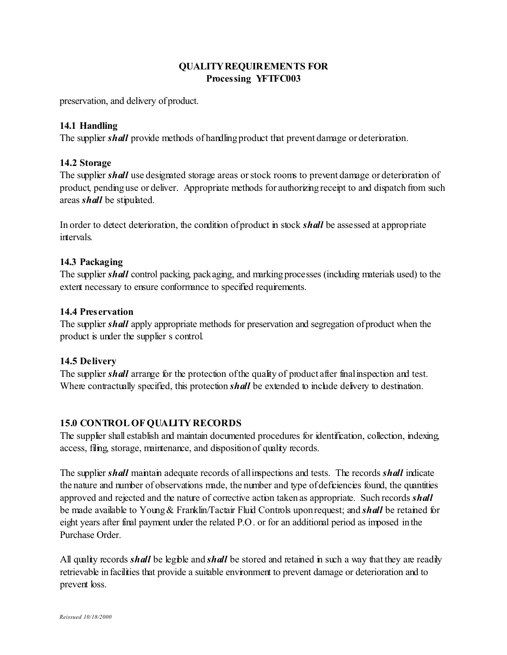preservation, and delivery of product.

### **14.1 Handling**

The supplier *shall* provide methods of handling product that prevent damage or deterioration.

### **14.2 Storage**

The supplier *shall* use designated storage areas or stock rooms to prevent damage or deterioration of product, pending use or deliver. Appropriate methods for authorizing receipt to and dispatch from such areas *shall* be stipulated.

In order to detect deterioration, the condition of product in stock *shall* be assessed at appropriate intervals.

### **14.3 Packaging**

The supplier *shall* control packing, packaging, and marking processes (including materials used) to the extent necessary to ensure conformance to specified requirements.

### **14.4 Preservation**

The supplier *shall* apply appropriate methods for preservation and segregation of product when the product is under the supplier s control.

## **14.5 Delivery**

The supplier *shall* arrange for the protection of the quality of product after final inspection and test. Where contractually specified, this protection *shall* be extended to include delivery to destination.

## **15.0 CONTROL OF QUALITY RECORDS**

The supplier shall establish and maintain documented procedures for identification, collection, indexing, access, filing, storage, maintenance, and disposition of quality records.

The supplier *shall* maintain adequate records of all inspections and tests. The records *shall* indicate the nature and number of observations made, the number and type of deficiencies found, the quantities approved and rejected and the nature of corrective action taken as appropriate. Such records *shall* be made available to Young & Franklin/Tactair Fluid Controls upon request; and *shall* be retained for eight years after final payment under the related P.O. or for an additional period as imposed in the Purchase Order.

All quality records *shall* be legible and *shall* be stored and retained in such a way that they are readily retrievable in facilities that provide a suitable environment to prevent damage or deterioration and to prevent loss.